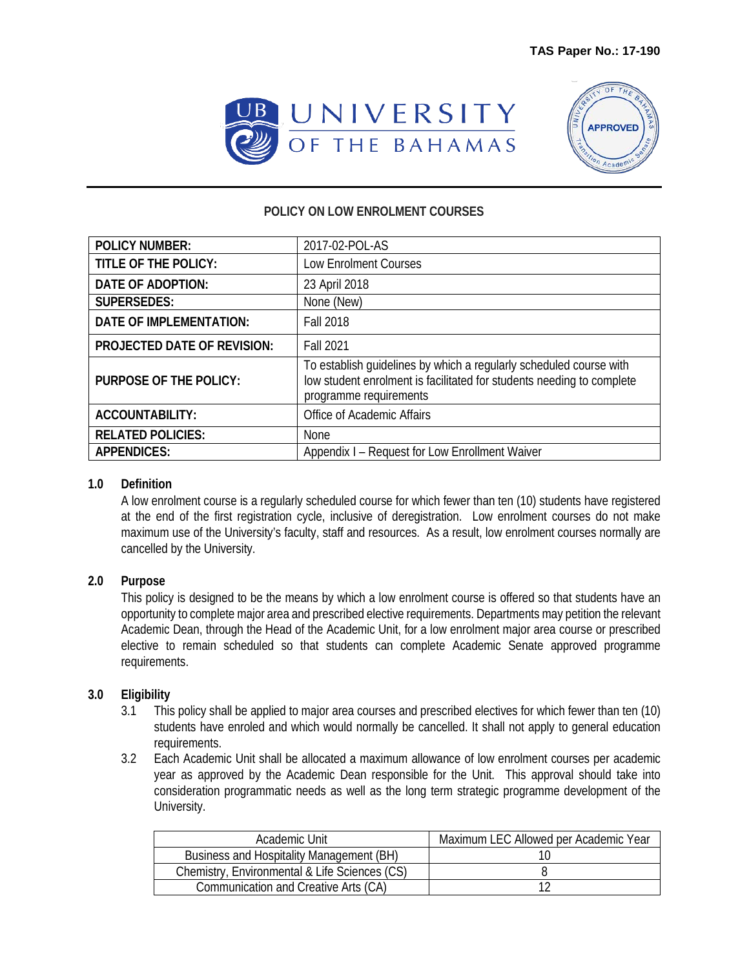



## **POLICY ON LOW ENROLMENT COURSES**

| <b>POLICY NUMBER:</b>              | 2017-02-POL-AS                                                                                                                                                        |  |
|------------------------------------|-----------------------------------------------------------------------------------------------------------------------------------------------------------------------|--|
| TITLE OF THE POLICY:               | Low Enrolment Courses                                                                                                                                                 |  |
| <b>DATE OF ADOPTION:</b>           | 23 April 2018                                                                                                                                                         |  |
| <b>SUPERSEDES:</b>                 | None (New)                                                                                                                                                            |  |
| <b>DATE OF IMPLEMENTATION:</b>     | <b>Fall 2018</b>                                                                                                                                                      |  |
| <b>PROJECTED DATE OF REVISION:</b> | <b>Fall 2021</b>                                                                                                                                                      |  |
| <b>PURPOSE OF THE POLICY:</b>      | To establish guidelines by which a regularly scheduled course with<br>low student enrolment is facilitated for students needing to complete<br>programme requirements |  |
| <b>ACCOUNTABILITY:</b>             | Office of Academic Affairs                                                                                                                                            |  |
| <b>RELATED POLICIES:</b>           | <b>None</b>                                                                                                                                                           |  |
| <b>APPENDICES:</b>                 | Appendix I - Request for Low Enrollment Waiver                                                                                                                        |  |

## **1.0 Definition**

A low enrolment course is a regularly scheduled course for which fewer than ten (10) students have registered at the end of the first registration cycle, inclusive of deregistration. Low enrolment courses do not make maximum use of the University's faculty, staff and resources. As a result, low enrolment courses normally are cancelled by the University.

## **2.0 Purpose**

This policy is designed to be the means by which a low enrolment course is offered so that students have an opportunity to complete major area and prescribed elective requirements. Departments may petition the relevant Academic Dean, through the Head of the Academic Unit, for a low enrolment major area course or prescribed elective to remain scheduled so that students can complete Academic Senate approved programme requirements.

## **3.0 Eligibility**

- 3.1 This policy shall be applied to major area courses and prescribed electives for which fewer than ten (10) students have enroled and which would normally be cancelled. It shall not apply to general education requirements.
- 3.2 Each Academic Unit shall be allocated a maximum allowance of low enrolment courses per academic year as approved by the Academic Dean responsible for the Unit. This approval should take into consideration programmatic needs as well as the long term strategic programme development of the University.

| Academic Unit                                 | Maximum LEC Allowed per Academic Year |
|-----------------------------------------------|---------------------------------------|
| Business and Hospitality Management (BH)      |                                       |
| Chemistry, Environmental & Life Sciences (CS) |                                       |
| Communication and Creative Arts (CA)          |                                       |